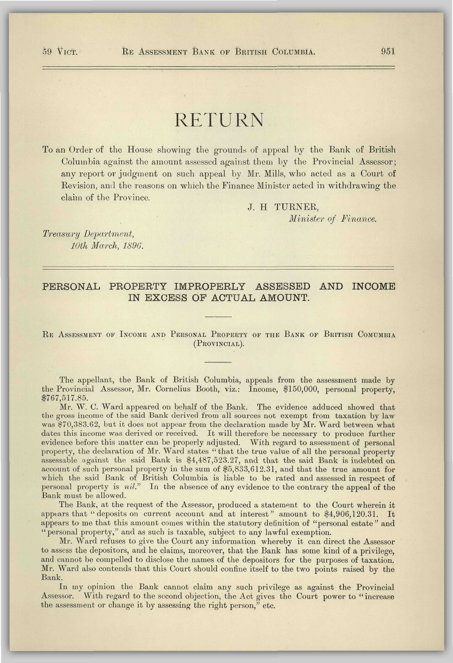## RETURN

To an Order of the House showing the grounds of appeal by the Bank of British Columbia against the amount assessed against them by the Provincial Assessor; any report or judgment on such appeal by Mr. Mills, who acted as a Court of Revision, and the reasons on which the Finance Minister acted in withdrawing the claim of the Province.

J. H TURNER,

*Minister of Finance.* 

*Treasury Department, 10th March, 1896.* 

## **PERSONA L PROPERT Y IMPROPERL Y ASSESSE D AN D INCOM E**  IN EXCESS OF ACTUAL AMOUNT.

## R E ASSESSMENT OF INCOME AND PERSONAL PROPERTY OP THE BANK OP BRITISH COMUMBIA (PROVINCIAL).

The appellant, the Bank of British Columbia, appeals from the assessment made by the Provincial Assessor, Mr. Cornelius Booth, viz.: Income, \$150,000, personal property, \$767,517.85.

Mr. W. C. Ward appeared on behalf of the Bank. The evidence adduced showed that the gross income of the said Bank derived from all sources not exempt from taxation by law was \$70,383.62, but it does not appear from the declaration made by Mr. Ward between what dates this income was derived or received. It will therefore be necessary to produce further evidence before this matter can be properly adjusted. With regard to assessment of personal property, the declaration of Mr. Ward states " that the true value of all the personal property assessable against the said Bank is \$4,487,523.27, and that the said Bank is indebted on account of such personal property in the sum of \$5,833,612.31, and that the true amount for which the said Bank of British Columbia is liable to be rated and assessed in respect of personal property is *nil."* In the absence of any evidence to the contrary the appeal of the Bank must be allowed.

The Bank, at the request of the Assessor, produced a statement to the Court wherein it appears that " deposits on current account and at interest" amount to \$4,906,120.31. It appears to me that this amount comes within the statutory definition of "personal estate" and "personal property," and as such is taxable, subject to any lawful exemption.

Mr. Ward refuses to give the Court any information whereby it can direct the Assessor to assess the depositors, and he claims, moreover, that the Bank has some kind of a privilege, and cannot be compelled to disclose the names of the depositors for the purposes of taxation. Mr. Ward also contends that this Court should confine itself to the two points raised by the Bank.

In my opinion the Bank cannot claim any such privilege as against the Provincial Assessor. With regard to the second objection, the Act gives the Court power to "increase the assessment or change it by assessing the right person," etc.